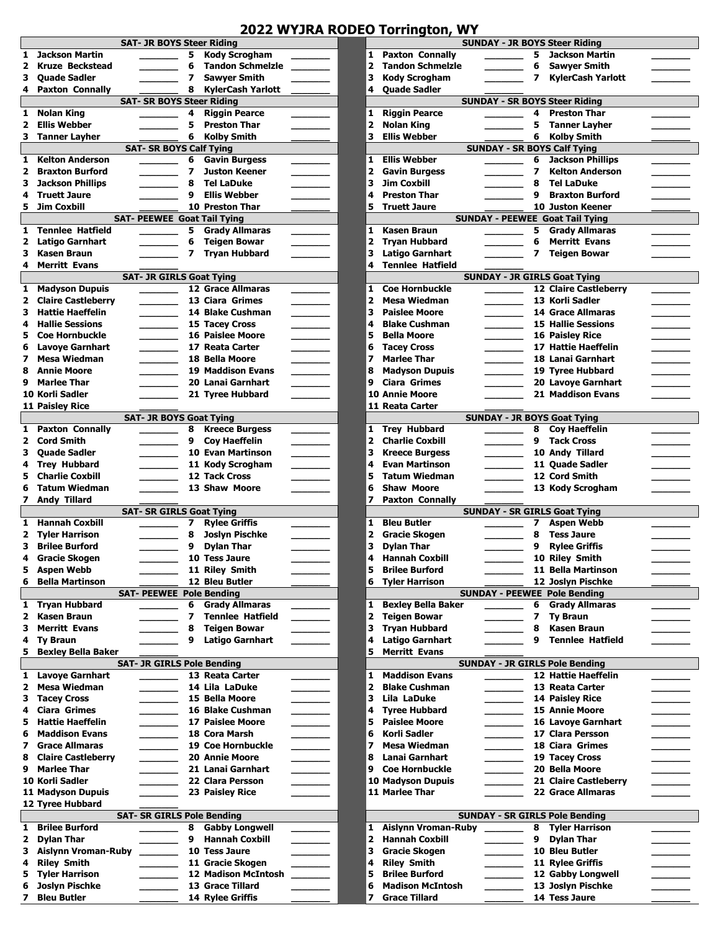## **2022 WYJRA RODEO Torrington, WY**

|              |                            | <b>SAT- JR BOYS Steer Riding</b>          |                          |                          |  |                         |                            | <b>SUNDAY - JR BOYS Steer Riding</b>                          |                          |                          |
|--------------|----------------------------|-------------------------------------------|--------------------------|--------------------------|--|-------------------------|----------------------------|---------------------------------------------------------------|--------------------------|--------------------------|
| 1            | <b>Jackson Martin</b>      |                                           | 5                        | <b>Kody Scrogham</b>     |  | 1                       | <b>Paxton Connally</b>     |                                                               | 5                        | <b>Jackson Mart</b>      |
| 2            | <b>Kruze Beckstead</b>     |                                           | 6                        | <b>Tandon Schmelzle</b>  |  | 2                       | <b>Tandon Schmelzle</b>    |                                                               | 6                        | <b>Sawyer Smith</b>      |
| З            | <b>Quade Sadler</b>        |                                           | $\overline{\phantom{a}}$ | <b>Sawver Smith</b>      |  | 3                       | <b>Kody Scrogham</b>       |                                                               | 7                        | KylerCash Ya             |
| 4            | <b>Paxton Connally</b>     |                                           | 8                        | <b>KylerCash Yarlott</b> |  | 4                       | <b>Quade Sadler</b>        |                                                               |                          |                          |
|              |                            | <b>SAT- SR BOYS Steer Riding</b>          |                          |                          |  |                         |                            | <b>SUNDAY - SR BOYS Steer Riding</b>                          |                          |                          |
| $\mathbf{1}$ | <b>Nolan King</b>          |                                           | 4                        | <b>Riggin Pearce</b>     |  | 1                       | <b>Riggin Pearce</b>       |                                                               | 4                        | <b>Preston Thar</b>      |
| 2            | <b>Ellis Webber</b>        |                                           | 5                        | <b>Preston Thar</b>      |  | $\overline{\mathbf{2}}$ | <b>Nolan King</b>          |                                                               | 5                        | <b>Tanner Layhe</b>      |
| з            | <b>Tanner Layher</b>       |                                           | 6                        | <b>Kolby Smith</b>       |  | 3                       | <b>Ellis Webber</b>        |                                                               | 6                        | <b>Kolby Smith</b>       |
|              |                            | <b>SAT- SR BOYS Calf Tying</b>            |                          |                          |  |                         |                            | <b>SUNDAY - SR BOYS Calf Tying</b>                            |                          |                          |
| 1            | <b>Kelton Anderson</b>     |                                           | 6                        | <b>Gavin Burgess</b>     |  | 1                       | <b>Ellis Webber</b>        |                                                               | 6                        | <b>Jackson Philli</b>    |
| 2            | <b>Braxton Burford</b>     |                                           | 7                        | <b>Juston Keener</b>     |  | $\overline{2}$          | <b>Gavin Burgess</b>       |                                                               | 7                        | <b>Kelton Ander:</b>     |
| з            | <b>Jackson Phillips</b>    |                                           | 8                        | <b>Tel LaDuke</b>        |  | 3                       | <b>Jim Coxbill</b>         |                                                               | 8                        | <b>Tel LaDuke</b>        |
|              |                            |                                           | 9                        | <b>Ellis Webber</b>      |  | 4                       | <b>Preston Thar</b>        |                                                               | 9                        | <b>Braxton Burfo</b>     |
| 4            | <b>Truett Jaure</b>        |                                           |                          |                          |  |                         |                            |                                                               |                          |                          |
| 5            | <b>Jim Coxbill</b>         |                                           |                          | <b>10 Preston Thar</b>   |  | 5                       | <b>Truett Jaure</b>        |                                                               |                          | <b>10 Juston Keene</b>   |
|              |                            | <b>SAT- PEEWEE Goat Tail Tying</b>        |                          |                          |  |                         |                            | <b>SUNDAY - PEEWEE Goat Tail Tying</b>                        |                          |                          |
| 1            | <b>Tenniee Hatfield</b>    |                                           | 5                        | <b>Grady Allmaras</b>    |  | $\mathbf{1}$            | <b>Kasen Braun</b>         |                                                               | 5                        | <b>Grady Allmar</b>      |
| 2            | <b>Latigo Garnhart</b>     |                                           | 6                        | <b>Teigen Bowar</b>      |  | $\mathbf{z}$            | <b>Tryan Hubbard</b>       |                                                               | 6                        | <b>Merritt Evans</b>     |
| з            | Kasen Braun                |                                           | $\overline{\phantom{a}}$ | <b>Tryan Hubbard</b>     |  | 3                       | <b>Latigo Garnhart</b>     |                                                               | $\overline{\phantom{a}}$ | <b>Teigen Bowar</b>      |
| 4            | <b>Merritt Evans</b>       |                                           |                          |                          |  | 4                       | <b>Tenniee Hatfield</b>    |                                                               |                          |                          |
|              |                            | <b>SAT- JR GIRLS Goat Tying</b>           |                          |                          |  |                         |                            | <b>SUNDAY - JR GIRLS Goat Tying</b>                           |                          |                          |
| 1            | <b>Madyson Dupuis</b>      |                                           |                          | <b>12 Grace Allmaras</b> |  | 1                       | <b>Coe Hornbuckle</b>      |                                                               |                          | <b>12 Claire Castlet</b> |
| 2            | <b>Claire Castleberry</b>  |                                           |                          | 13 Ciara Grimes          |  | 2                       | <b>Mesa Wiedman</b>        |                                                               |                          | 13 Korli Sadler          |
| з            | <b>Hattie Haeffelin</b>    | $\overline{\phantom{a}}$                  |                          | 14 Blake Cushman         |  | 3                       | <b>Paislee Moore</b>       | <b>Contract Contract</b>                                      |                          | 14 Grace Allmara         |
| 4            | <b>Hallie Sessions</b>     |                                           |                          | 15 Tacey Cross           |  | 4                       | <b>Blake Cushman</b>       |                                                               |                          | <b>15 Hallie Sessior</b> |
| 5            | <b>Coe Hornbuckle</b>      |                                           |                          | <b>16 Paislee Moore</b>  |  | 5                       | <b>Bella Moore</b>         |                                                               |                          | <b>16 Paisley Rice</b>   |
| 6            | <b>Lavoye Garnhart</b>     |                                           |                          | 17 Reata Carter          |  | 6                       | <b>Tacey Cross</b>         |                                                               |                          | 17 Hattie Haeffe         |
|              |                            |                                           |                          |                          |  |                         |                            |                                                               |                          |                          |
| 7            | <b>Mesa Wiedman</b>        |                                           |                          | 18 Bella Moore           |  | 7                       | <b>Marlee Thar</b>         |                                                               |                          | 18 Lanai Garnha          |
| 8            | <b>Annie Moore</b>         |                                           |                          | <b>19 Maddison Evans</b> |  | 8                       | <b>Madyson Dupuis</b>      |                                                               |                          | 19 Tyree Hubbar          |
| 9            | <b>Marlee Thar</b>         |                                           |                          | 20 Lanai Garnhart        |  | 9                       | <b>Ciara Grimes</b>        |                                                               |                          | 20 Lavoye Garnh          |
|              | 10 Korli Sadler            |                                           |                          | 21 Tyree Hubbard         |  |                         | <b>10 Annie Moore</b>      |                                                               |                          | 21 Maddison Eva          |
|              | <b>11 Paisley Rice</b>     |                                           |                          |                          |  |                         | 11 Reata Carter            |                                                               |                          |                          |
|              |                            | <b>SAT- JR BOYS Goat Tying</b>            |                          |                          |  |                         |                            | <b>SUNDAY - JR BOYS Goat Tying</b>                            |                          |                          |
| 1.           | <b>Paxton Connally</b>     |                                           | 8                        | <b>Kreece Burgess</b>    |  | 1                       | <b>Trey Hubbard</b>        |                                                               | 8                        | <b>Coy Haeffelin</b>     |
| $\mathbf{2}$ | <b>Cord Smith</b>          |                                           | 9                        | <b>Coy Haeffelin</b>     |  | $\overline{\mathbf{2}}$ | <b>Charlie Coxbill</b>     |                                                               | 9                        | <b>Tack Cross</b>        |
| з            | <b>Quade Sadler</b>        |                                           |                          | <b>10 Evan Martinson</b> |  | з                       | <b>Kreece Burgess</b>      |                                                               |                          | 10 Andy Tillard          |
| 4            | <b>Trey Hubbard</b>        |                                           |                          | 11 Kody Scrogham         |  | 4                       | <b>Evan Martinson</b>      |                                                               |                          | 11 Quade Sadler          |
| 5            | <b>Charlie Coxbill</b>     |                                           |                          | 12 Tack Cross            |  | 5                       | <b>Tatum Wiedman</b>       |                                                               |                          | 12 Cord Smith            |
| 6            | <b>Tatum Wiedman</b>       |                                           |                          | 13 Shaw Moore            |  | 6                       | <b>Shaw Moore</b>          |                                                               |                          | 13 Kody Scrogha          |
| 7            | <b>Andy Tillard</b>        |                                           |                          |                          |  | 7                       | <b>Paxton Connally</b>     |                                                               |                          |                          |
|              |                            | <b>SAT- SR GIRLS Goat Tying</b>           |                          |                          |  |                         |                            | <b>SUNDAY - SR GIRLS Goat Tying</b>                           |                          |                          |
|              |                            |                                           |                          | <b>Rylee Griffis</b>     |  |                         | <b>Bleu Butler</b>         |                                                               |                          |                          |
| 1            | <b>Hannah Coxbill</b>      |                                           | 7                        |                          |  | 1                       |                            |                                                               | 7                        | <b>Aspen Webb</b>        |
| 2            | <b>Tyler Harrison</b>      |                                           | 8                        | <b>Joslyn Pischke</b>    |  | 2                       | <b>Gracie Skogen</b>       |                                                               | 8                        | <b>Tess Jaure</b>        |
| з            | <b>Brilee Burford</b>      |                                           | 9                        | <b>Dylan Thar</b>        |  | 3                       | <b>Dylan Thar</b>          |                                                               | 9                        | <b>Rylee Griffis</b>     |
| 4            | <b>Gracie Skogen</b>       |                                           |                          | 10 Tess Jaure            |  | 4                       | <b>Hannah Coxbill</b>      |                                                               |                          | 10 Riley Smith           |
| 5            | <b>Aspen Webb</b>          |                                           |                          | 11 Riley Smith           |  | 5                       | <b>Brilee Burford</b>      |                                                               |                          | 11 Bella Martins         |
| 6            | <b>Bella Martinson</b>     |                                           |                          | 12 Bleu Butler           |  | 6                       | <b>Tyler Harrison</b>      |                                                               |                          | 12 Joslyn Pischk         |
|              |                            | <b>SAT- PEEWEE Pole Bending</b>           |                          |                          |  |                         |                            | <b>SUNDAY - PEEWEE Pole Bending</b>                           |                          |                          |
| 1.           | <b>Tryan Hubbard</b>       |                                           | 6                        | <b>Grady Allmaras</b>    |  | 1                       | <b>Bexley Bella Baker</b>  |                                                               | 6                        | <b>Grady Allmar</b>      |
| 2            | <b>Kasen Braun</b>         |                                           | 7                        | <b>Tenniee Hatfield</b>  |  | 2                       | Teigen Bowar               |                                                               | 7                        | <b>Ty Braun</b>          |
| з            | <b>Merritt Evans</b>       |                                           | 8                        | <b>Teigen Bowar</b>      |  | 3                       | <b>Tryan Hubbard</b>       |                                                               | 8                        | <b>Kasen Braun</b>       |
| 4            | <b>Ty Braun</b>            |                                           | 9                        | <b>Latigo Garnhart</b>   |  | 4                       | Latigo Garnhart            |                                                               | 9                        | <b>Tenniee Hatf</b>      |
| 5            | <b>Bexley Bella Baker</b>  |                                           |                          |                          |  | 5                       | <b>Merritt Evans</b>       |                                                               |                          |                          |
|              |                            | <b>SAT- JR GIRLS Pole Bending</b>         |                          |                          |  |                         |                            | <b>SUNDAY - JR GIRLS Pole Bending</b>                         |                          |                          |
|              | <b>Lavoye Garnhart</b>     |                                           |                          | 13 Reata Carter          |  | 1                       | <b>Maddison Evans</b>      |                                                               |                          | 12 Hattie Haeffe         |
| 1.           |                            |                                           |                          |                          |  |                         |                            |                                                               |                          |                          |
| 2            | Mesa Wiedman               |                                           |                          | 14 Lila LaDuke           |  | $\overline{\mathbf{2}}$ | <b>Blake Cushman</b>       |                                                               |                          | 13 Reata Carter          |
| з            | <b>Tacey Cross</b>         |                                           |                          | 15 Bella Moore           |  | 3                       | Lila LaDuke                |                                                               |                          | 14 Paisley Rice          |
| 4            | <b>Ciara Grimes</b>        |                                           |                          | <b>16 Blake Cushman</b>  |  | 4                       | <b>Tyree Hubbard</b>       |                                                               |                          | <b>15 Annie Moore</b>    |
| 5            | <b>Hattie Haeffelin</b>    |                                           |                          | <b>17 Paislee Moore</b>  |  | 5                       | <b>Paislee Moore</b>       | $\mathcal{L}^{\text{max}}$ , where $\mathcal{L}^{\text{max}}$ |                          | 16 Lavoye Garnh          |
| 6            | <b>Maddison Evans</b>      |                                           |                          | 18 Cora Marsh            |  | 6                       | <b>Korli Sadler</b>        |                                                               |                          | 17 Clara Persson         |
| 7            | <b>Grace Allmaras</b>      |                                           |                          | <b>19 Coe Hornbuckle</b> |  | 7                       | <b>Mesa Wiedman</b>        |                                                               |                          | 18 Ciara Grimes          |
| 8            | <b>Claire Castleberry</b>  | <u>and the community of the community</u> |                          | <b>20 Annie Moore</b>    |  | 8                       | Lanai Garnhart             | $\overline{\phantom{a}}$                                      |                          | 19 Tacey Cross           |
| 9            | <b>Marlee Thar</b>         |                                           |                          | 21 Lanai Garnhart        |  | 9                       | <b>Coe Hornbuckle</b>      |                                                               |                          | 20 Bella Moore           |
|              | 10 Korli Sadler            |                                           |                          | 22 Clara Persson         |  |                         | <b>10 Madyson Dupuis</b>   |                                                               |                          | <b>21 Claire Castlet</b> |
|              | 11 Madyson Dupuis          |                                           |                          | 23 Paisley Rice          |  |                         | 11 Marlee Thar             |                                                               |                          | 22 Grace Allmara         |
|              | 12 Tyree Hubbard           |                                           |                          |                          |  |                         |                            |                                                               |                          |                          |
|              |                            |                                           |                          |                          |  |                         |                            |                                                               |                          |                          |
|              |                            | <b>SAT- SR GIRLS Pole Bending</b>         |                          |                          |  |                         |                            | <b>SUNDAY - SR GIRLS Pole Bending</b>                         |                          |                          |
| $\mathbf{1}$ | <b>Brilee Burford</b>      |                                           | 8                        | <b>Gabby Longwell</b>    |  | 1                       | <b>Aislynn Vroman-Ruby</b> |                                                               | 8                        | <b>Tyler Harrisor</b>    |
| 2            | <b>Dylan Thar</b>          |                                           | 9                        | <b>Hannah Coxbill</b>    |  | 2                       | <b>Hannah Coxbill</b>      |                                                               | 9                        | <b>Dylan Thar</b>        |
| з            | <b>Aislynn Vroman-Ruby</b> |                                           |                          | 10 Tess Jaure            |  | 3                       | <b>Gracie Skogen</b>       |                                                               |                          | 10 Bleu Butler           |
| 4            | <b>Riley Smith</b>         |                                           |                          | 11 Gracie Skogen         |  | 4                       | <b>Riley Smith</b>         |                                                               |                          | 11 Rylee Griffis         |
| 5            | <b>Tyler Harrison</b>      |                                           |                          | 12 Madison McIntosh      |  | 5                       | <b>Brilee Burford</b>      |                                                               |                          | 12 Gabby Longw           |
| 6            | Joslyn Pischke             |                                           |                          | 13 Grace Tillard         |  | 6                       | <b>Madison McIntosh</b>    |                                                               |                          | 13 Joslyn Pischk         |

| <b>SAI- JK BUTS STEEF KIGING</b>                                                                                                                                                                          | SUNDAY - JK BUYS STEEF KIDING                                                                                                                 |
|-----------------------------------------------------------------------------------------------------------------------------------------------------------------------------------------------------------|-----------------------------------------------------------------------------------------------------------------------------------------------|
| <b>Jackson Martin</b>                                                                                                                                                                                     | 1                                                                                                                                             |
| 5                                                                                                                                                                                                         | <b>Paxton Connally</b>                                                                                                                        |
| Kody Scrogham                                                                                                                                                                                             | <b>Jackson Martin</b>                                                                                                                         |
| 1                                                                                                                                                                                                         | 5                                                                                                                                             |
| 2                                                                                                                                                                                                         | 2                                                                                                                                             |
| <b>Kruze Beckstead</b>                                                                                                                                                                                    | <b>Tandon Schmelzle</b>                                                                                                                       |
| 6                                                                                                                                                                                                         | 6                                                                                                                                             |
| <b>Tandon Schmelzle</b>                                                                                                                                                                                   | <b>Sawyer Smith</b>                                                                                                                           |
| <b>Quade Sadler</b>                                                                                                                                                                                       | <b>Kody Scrogham</b>                                                                                                                          |
| <b>Sawyer Smith</b>                                                                                                                                                                                       | 3                                                                                                                                             |
| з                                                                                                                                                                                                         | <b>KylerCash Yarlott</b>                                                                                                                      |
| 7                                                                                                                                                                                                         | $\boldsymbol{7}$                                                                                                                              |
| 8<br><b>KylerCash Yarlott</b><br><b>Paxton Connally</b><br>4                                                                                                                                              | 4<br><b>Quade Sadler</b>                                                                                                                      |
| <b>SAT- SR BOYS Steer Riding</b>                                                                                                                                                                          | <b>SUNDAY - SR BOYS Steer Riding</b>                                                                                                          |
| <b>Nolan King</b><br>4                                                                                                                                                                                    | 1<br><b>Riggin Pearce</b><br>4<br><b>Preston Thar</b>                                                                                         |
| <b>Riggin Pearce</b><br>1                                                                                                                                                                                 |                                                                                                                                               |
| 5                                                                                                                                                                                                         | $\overline{2}$                                                                                                                                |
| 2                                                                                                                                                                                                         | 5                                                                                                                                             |
| <b>Ellis Webber</b>                                                                                                                                                                                       | Nolan King                                                                                                                                    |
| <b>Preston Thar</b>                                                                                                                                                                                       | <b>Tanner Layher</b>                                                                                                                          |
| з                                                                                                                                                                                                         | 3                                                                                                                                             |
| <b>Tanner Layher</b>                                                                                                                                                                                      | <b>Ellis Webber</b>                                                                                                                           |
| 6                                                                                                                                                                                                         | 6                                                                                                                                             |
| <b>Kolby Smith</b>                                                                                                                                                                                        | <b>Kolby Smith</b>                                                                                                                            |
|                                                                                                                                                                                                           |                                                                                                                                               |
| <b>SAT- SR BOYS Calf Tying</b>                                                                                                                                                                            | <b>SUNDAY - SR BOYS Calf Tying</b>                                                                                                            |
| <b>Kelton Anderson</b>                                                                                                                                                                                    | 1                                                                                                                                             |
| 6                                                                                                                                                                                                         | <b>Ellis Webber</b>                                                                                                                           |
| <b>Gavin Burgess</b>                                                                                                                                                                                      | 6                                                                                                                                             |
| 1                                                                                                                                                                                                         | <b>Jackson Phillips</b>                                                                                                                       |
| <b>Braxton Burford</b>                                                                                                                                                                                    | $\overline{\mathbf{2}}$                                                                                                                       |
| 7                                                                                                                                                                                                         | <b>Gavin Burgess</b>                                                                                                                          |
| <b>Juston Keener</b>                                                                                                                                                                                      | 7                                                                                                                                             |
| 2                                                                                                                                                                                                         | <b>Kelton Anderson</b>                                                                                                                        |
|                                                                                                                                                                                                           | <b>Jim Coxbill</b><br>8                                                                                                                       |
| <b>Jackson Phillips</b><br><b>Tel LaDuke</b><br>8<br>з                                                                                                                                                    | 3<br><b>Tel LaDuke</b>                                                                                                                        |
| 9                                                                                                                                                                                                         | 4                                                                                                                                             |
| <b>Ellis Webber</b>                                                                                                                                                                                       | <b>Preston Thar</b>                                                                                                                           |
| <b>Truett Jaure</b>                                                                                                                                                                                       | 9                                                                                                                                             |
| 4                                                                                                                                                                                                         | <b>Braxton Burford</b>                                                                                                                        |
| 5                                                                                                                                                                                                         | 5                                                                                                                                             |
| Jim Coxbill                                                                                                                                                                                               | <b>Truett Jaure</b>                                                                                                                           |
| <b>10 Preston Thar</b>                                                                                                                                                                                    | <b>10 Juston Keener</b>                                                                                                                       |
| <b>SAT- PEEWEE Goat Tail Tying</b>                                                                                                                                                                        | <b>SUNDAY - PEEWEE Goat Tail Tying</b>                                                                                                        |
| <b>Tenniee Hatfield</b>                                                                                                                                                                                   | 1                                                                                                                                             |
| 5                                                                                                                                                                                                         | <b>Kasen Braun</b>                                                                                                                            |
| <b>Grady Allmaras</b>                                                                                                                                                                                     | 5                                                                                                                                             |
| 1                                                                                                                                                                                                         | <b>Grady Allmaras</b>                                                                                                                         |
| 6<br>2                                                                                                                                                                                                    | 2<br>6<br><b>Merritt Evans</b>                                                                                                                |
| Latigo Garnhart<br><b>Teigen Bowar</b>                                                                                                                                                                    | Tryan Hubbard                                                                                                                                 |
| Kasen Braun                                                                                                                                                                                               | 3                                                                                                                                             |
| 7                                                                                                                                                                                                         | <b>Latigo Garnhart</b>                                                                                                                        |
| <b>Tryan Hubbard</b>                                                                                                                                                                                      | 7                                                                                                                                             |
| з                                                                                                                                                                                                         | <b>Teigen Bowar</b>                                                                                                                           |
| 4                                                                                                                                                                                                         | 4                                                                                                                                             |
| <b>Merritt Evans</b>                                                                                                                                                                                      | <b>Tenniee Hatfield</b>                                                                                                                       |
| <b>SAT- JR GIRLS Goat Tying</b>                                                                                                                                                                           | <b>SUNDAY - JR GIRLS Goat Tying</b>                                                                                                           |
| <b>Madyson Dupuis</b>                                                                                                                                                                                     | <b>Coe Hornbuckle</b>                                                                                                                         |
| <b>12 Grace Allmaras</b>                                                                                                                                                                                  | 1                                                                                                                                             |
| 1                                                                                                                                                                                                         | <b>12 Claire Castleberry</b>                                                                                                                  |
| 13 Ciara Grimes                                                                                                                                                                                           | 2                                                                                                                                             |
| <b>Claire Castleberry</b>                                                                                                                                                                                 | <b>Mesa Wiedman</b>                                                                                                                           |
| 2                                                                                                                                                                                                         | 13 Korli Sadler                                                                                                                               |
| $\mathcal{L}^{\text{max}}_{\text{max}}$ , where $\mathcal{L}^{\text{max}}_{\text{max}}$                                                                                                                   | $\sim 10^{11}$ m $^{-1}$ .                                                                                                                    |
|                                                                                                                                                                                                           |                                                                                                                                               |
| 14 Blake Cushman<br><b>Hattie Haeffelin</b><br>З<br><u>and the state</u><br>$\overline{\phantom{a}}$                                                                                                      | 3<br><b>Paislee Moore</b><br><b>14 Grace Allmaras</b><br><b>Contract Contract</b>                                                             |
| <b>Hallie Sessions</b>                                                                                                                                                                                    | 4                                                                                                                                             |
| 15 Tacey Cross                                                                                                                                                                                            | <b>Blake Cushman</b>                                                                                                                          |
| 4                                                                                                                                                                                                         | <b>15 Hallie Sessions</b>                                                                                                                     |
| <b>16 Paislee Moore</b><br>5<br>$\label{eq:2} \begin{split} \mathcal{L}_{\text{max}}(\mathcal{L}_{\text{max}}) = \mathcal{L}_{\text{max}}(\mathcal{L}_{\text{max}}) \end{split}$<br><b>Coe Hornbuckle</b> | 5<br><b>16 Paisley Rice</b><br><b>Bella Moore</b>                                                                                             |
| 17 Reata Carter<br><b>Lavoye Garnhart</b><br>6<br>$\sim$ $\sim$<br>$\overline{\phantom{a}}$                                                                                                               | 6<br><b>Tacey Cross</b><br>17 Hattie Haeffelin<br>$\overline{\phantom{a}}$                                                                    |
| <b>Mesa Wiedman</b>                                                                                                                                                                                       | 7                                                                                                                                             |
| 18 Bella Moore                                                                                                                                                                                            | <b>Marlee Thar</b>                                                                                                                            |
| 7                                                                                                                                                                                                         | 18 Lanai Garnhart                                                                                                                             |
|                                                                                                                                                                                                           |                                                                                                                                               |
| <b>Annie Moore</b>                                                                                                                                                                                        | 8                                                                                                                                             |
| <b>19 Maddison Evans</b>                                                                                                                                                                                  | 19 Tyree Hubbard                                                                                                                              |
| 8                                                                                                                                                                                                         | <b>Madyson Dupuis</b>                                                                                                                         |
| <b>Marlee Thar</b>                                                                                                                                                                                        | 9                                                                                                                                             |
| 20 Lanai Garnhart                                                                                                                                                                                         | <b>Ciara Grimes</b>                                                                                                                           |
| 9                                                                                                                                                                                                         | 20 Lavoye Garnhart                                                                                                                            |
| 10 Korli Sadler                                                                                                                                                                                           | <b>10 Annie Moore</b>                                                                                                                         |
| 21 Tyree Hubbard                                                                                                                                                                                          | 21 Maddison Evans                                                                                                                             |
| <b>11 Paisley Rice</b>                                                                                                                                                                                    | 11 Reata Carter                                                                                                                               |
| <b>SAT- JR BOYS Goat Tying</b>                                                                                                                                                                            | <b>SUNDAY - JR BOYS Goat Tying</b>                                                                                                            |
| <b>Paxton Connally</b>                                                                                                                                                                                    | <b>Trey Hubbard</b>                                                                                                                           |
| 8                                                                                                                                                                                                         | 8                                                                                                                                             |
| <b>Kreece Burgess</b>                                                                                                                                                                                     | 1                                                                                                                                             |
| 1.                                                                                                                                                                                                        | <b>Coy Haeffelin</b>                                                                                                                          |
|                                                                                                                                                                                                           |                                                                                                                                               |
| <b>Cord Smith</b><br>9<br><b>Coy Haeffelin</b><br>2                                                                                                                                                       | $\overline{\mathbf{2}}$<br><b>Charlie Coxbill</b><br>9 Tack Cross                                                                             |
| 10 Evan Martinson                                                                                                                                                                                         | 3                                                                                                                                             |
| 3                                                                                                                                                                                                         | <b>Kreece Burgess</b>                                                                                                                         |
| Quade Sadler                                                                                                                                                                                              | 10 Andy Tillard                                                                                                                               |
| 11 Kody Scrogham                                                                                                                                                                                          | 4                                                                                                                                             |
| Trey Hubbard                                                                                                                                                                                              | <b>Evan Martinson</b>                                                                                                                         |
| 4                                                                                                                                                                                                         | 11 Quade Sadler                                                                                                                               |
| <b>12 Tack Cross</b>                                                                                                                                                                                      | 5                                                                                                                                             |
| 5                                                                                                                                                                                                         | <b>Tatum Wiedman</b>                                                                                                                          |
| <b>Charlie Coxbill</b>                                                                                                                                                                                    | 12 Cord Smith                                                                                                                                 |
|                                                                                                                                                                                                           | 6                                                                                                                                             |
| 13 Shaw Moore<br><b>Tatum Wiedman</b><br>6                                                                                                                                                                | <b>Shaw Moore</b><br>13 Kody Scrogham                                                                                                         |
| <b>Andy Tillard</b>                                                                                                                                                                                       | 7                                                                                                                                             |
| 7                                                                                                                                                                                                         | <b>Paxton Connally</b>                                                                                                                        |
| <b>SAT- SR GIRLS Goat Tying</b>                                                                                                                                                                           | <b>SUNDAY - SR GIRLS Goat Tying</b>                                                                                                           |
| <b>Hannah Coxbill</b>                                                                                                                                                                                     | 1                                                                                                                                             |
| 7                                                                                                                                                                                                         | <b>Bleu Butler</b>                                                                                                                            |
| <b>Rylee Griffis</b>                                                                                                                                                                                      | 7                                                                                                                                             |
| 1                                                                                                                                                                                                         | <b>Aspen Webb</b>                                                                                                                             |
| <b>Tyler Harrison</b>                                                                                                                                                                                     | 2                                                                                                                                             |
| 8                                                                                                                                                                                                         | <b>Gracie Skogen</b>                                                                                                                          |
| Joslyn Pischke                                                                                                                                                                                            | 8                                                                                                                                             |
| 2                                                                                                                                                                                                         | <b>Tess Jaure</b>                                                                                                                             |
| <b>Brilee Burford</b>                                                                                                                                                                                     | 3                                                                                                                                             |
| 9                                                                                                                                                                                                         | <b>Dylan Thar</b>                                                                                                                             |
| <b>Dylan Thar</b>                                                                                                                                                                                         | 9                                                                                                                                             |
| 3                                                                                                                                                                                                         | <b>Rylee Griffis</b>                                                                                                                          |
| 10 Tess Jaure<br>Gracie Skogen<br>4                                                                                                                                                                       | 4                                                                                                                                             |
|                                                                                                                                                                                                           |                                                                                                                                               |
|                                                                                                                                                                                                           | 10 Riley Smith<br><b>Hannah Coxbill</b>                                                                                                       |
| 11 Riley Smith                                                                                                                                                                                            | <b>Brilee Burford</b>                                                                                                                         |
| Aspen Webb                                                                                                                                                                                                | 11 Bella Martinson                                                                                                                            |
| <b>Bella Martinson</b>                                                                                                                                                                                    | 6                                                                                                                                             |
| 12 Bleu Butler                                                                                                                                                                                            | <b>Tyler Harrison</b>                                                                                                                         |
| 6                                                                                                                                                                                                         | 12 Joslyn Pischke                                                                                                                             |
| <b>SAT- PEEWEE Pole Bending</b>                                                                                                                                                                           | _____<br><b>SUNDAY - PEEWEE Pole Bending</b>                                                                                                  |
| 6<br>1                                                                                                                                                                                                    | 1<br><b>Bexley Bella Baker</b><br>6                                                                                                           |
| Tryan Hubbard<br><b>Grady Allmaras</b>                                                                                                                                                                    | <b>Grady Allmaras</b>                                                                                                                         |
| 7                                                                                                                                                                                                         | 2                                                                                                                                             |
| Kasen Braun                                                                                                                                                                                               | 7                                                                                                                                             |
| <b>Tenniee Hatfield</b>                                                                                                                                                                                   | <b>Teigen Bowar</b>                                                                                                                           |
| 2                                                                                                                                                                                                         | <b>Ty Braun</b>                                                                                                                               |
| <b>Merritt Evans</b>                                                                                                                                                                                      | 3                                                                                                                                             |
| 8                                                                                                                                                                                                         | Tryan Hubbard                                                                                                                                 |
| Teigen Bowar                                                                                                                                                                                              | 8                                                                                                                                             |
| з                                                                                                                                                                                                         | <b>Kasen Braun</b>                                                                                                                            |
| <b>Ty Braun</b>                                                                                                                                                                                           | 4                                                                                                                                             |
| 9                                                                                                                                                                                                         | <b>Latigo Garnhart</b>                                                                                                                        |
| Latigo Garnhart                                                                                                                                                                                           | 9                                                                                                                                             |
| 4                                                                                                                                                                                                         | <b>Tenniee Hatfield</b>                                                                                                                       |
| 5                                                                                                                                                                                                         | 5                                                                                                                                             |
| <b>Bexley Bella Baker</b>                                                                                                                                                                                 | <b>Merritt Evans</b>                                                                                                                          |
| <b>SAT- JR GIRLS Pole Bending</b>                                                                                                                                                                         | <b>SUNDAY - JR GIRLS Pole Bending</b>                                                                                                         |
| <b>Lavoye Garnhart</b>                                                                                                                                                                                    | <b>Maddison Evans</b>                                                                                                                         |
| 13 Reata Carter                                                                                                                                                                                           | <b>12 Hattie Haeffelin</b>                                                                                                                    |
| 1.                                                                                                                                                                                                        | 1                                                                                                                                             |
| <u> Linda a</u>                                                                                                                                                                                           |                                                                                                                                               |
|                                                                                                                                                                                                           |                                                                                                                                               |
| <b>Mesa Wiedman</b><br>14 Lila LaDuke<br>2<br><u> 1999 - Jan Jan Ja</u>                                                                                                                                   | 2<br><b>Blake Cushman</b><br>13 Reata Carter                                                                                                  |
| <b>Tacey Cross</b>                                                                                                                                                                                        | Lila LaDuke                                                                                                                                   |
| 15 Bella Moore                                                                                                                                                                                            | 3                                                                                                                                             |
| з                                                                                                                                                                                                         | 14 Paisley Rice                                                                                                                               |
| <b>Ciara Grimes</b><br>16 Blake Cushman<br>4<br>$\mathcal{L}^{\text{max}}$ , where $\mathcal{L}^{\text{max}}$                                                                                             | 4<br><b>Tyree Hubbard</b><br><b>15 Annie Moore</b><br>$\mathcal{L}^{\text{max}}_{\text{max}}$ , where $\mathcal{L}^{\text{max}}_{\text{max}}$ |
| <b>Hattie Haeffelin</b>                                                                                                                                                                                   | 5                                                                                                                                             |
| <b>17 Paislee Moore</b>                                                                                                                                                                                   | <b>Paislee Moore</b>                                                                                                                          |
| 5                                                                                                                                                                                                         | 16 Lavoye Garnhart                                                                                                                            |
| $\mathcal{L}(\mathcal{L})$                                                                                                                                                                                | <b>Contract Contract</b>                                                                                                                      |
| <b>Contract Contract</b>                                                                                                                                                                                  | $\mathcal{L}^{\text{max}}$ , and $\mathcal{L}^{\text{max}}$                                                                                   |
| <b>Maddison Evans</b>                                                                                                                                                                                     | Korli Sadler                                                                                                                                  |
| 18 Cora Marsh                                                                                                                                                                                             | 17 Clara Persson                                                                                                                              |
| 6                                                                                                                                                                                                         | 6                                                                                                                                             |
| $\overline{\phantom{a}}$                                                                                                                                                                                  |                                                                                                                                               |
| <b>Grace Allmaras</b><br>19 Coe Hornbuckle<br>$\frac{1}{2}$<br>7<br>$\mathcal{L}^{\text{max}}_{\text{max}}$ , where $\mathcal{L}^{\text{max}}_{\text{max}}$                                               | 7<br>18 Ciara Grimes<br>Mesa Wiedman<br>$\mathcal{L}^{\text{max}}_{\text{max}}$                                                               |
| <b>Claire Castleberry</b>                                                                                                                                                                                 | 8                                                                                                                                             |
| <b>20 Annie Moore</b>                                                                                                                                                                                     | Lanai Garnhart                                                                                                                                |
| 8                                                                                                                                                                                                         | 19 Tacey Cross                                                                                                                                |
| <u> The Common State</u>                                                                                                                                                                                  | <b>Contract Contract</b>                                                                                                                      |
| <b>Marlee Thar</b>                                                                                                                                                                                        | <b>Coe Hornbuckle</b>                                                                                                                         |
| 21 Lanai Garnhart                                                                                                                                                                                         | 20 Bella Moore                                                                                                                                |
| 9                                                                                                                                                                                                         | 9                                                                                                                                             |
|                                                                                                                                                                                                           | $\overline{\phantom{a}}$                                                                                                                      |
| 22 Clara Persson                                                                                                                                                                                          | <b>10 Madyson Dupuis</b>                                                                                                                      |
| 10 Korli Sadler                                                                                                                                                                                           | 21 Claire Castleberry                                                                                                                         |
| 11 Madyson Dupuis<br>23 Paisley Rice<br>$\mathcal{L}^{\text{max}}_{\text{max}}$<br>$\mathcal{L}^{\text{max}}$ , where $\mathcal{L}^{\text{max}}$                                                          | 11 Marlee Thar<br>22 Grace Allmaras<br><b>Contract Contract</b>                                                                               |
| 12 Tyree Hubbard                                                                                                                                                                                          |                                                                                                                                               |
|                                                                                                                                                                                                           |                                                                                                                                               |
| <b>SAT- SR GIRLS Pole Bending</b>                                                                                                                                                                         | <b>SUNDAY - SR GIRLS Pole Bending</b>                                                                                                         |
| <b>Brilee Burford</b>                                                                                                                                                                                     | <b>Aislynn Vroman-Ruby</b>                                                                                                                    |
| 8                                                                                                                                                                                                         | 8                                                                                                                                             |
| <b>Gabby Longwell</b>                                                                                                                                                                                     | <b>Tyler Harrison</b>                                                                                                                         |
| 1                                                                                                                                                                                                         | 1                                                                                                                                             |
| <b>Dylan Thar</b>                                                                                                                                                                                         | 2                                                                                                                                             |
| 9                                                                                                                                                                                                         | <b>Hannah Coxbill</b>                                                                                                                         |
| <b>Hannah Coxbill</b>                                                                                                                                                                                     | 9                                                                                                                                             |
| 2                                                                                                                                                                                                         | <b>Dylan Thar</b>                                                                                                                             |
| Aislynn Vroman-Ruby                                                                                                                                                                                       | 3                                                                                                                                             |
| 10 Tess Jaure                                                                                                                                                                                             | Gracie Skogen                                                                                                                                 |
| з                                                                                                                                                                                                         | 10 Bleu Butler                                                                                                                                |
| $\mathcal{L}^{\mathcal{L}}$ and $\mathcal{L}^{\mathcal{L}}$ and $\mathcal{L}^{\mathcal{L}}$                                                                                                               | $\mathcal{L}^{\text{max}}_{\text{max}}$ , where $\mathcal{L}^{\text{max}}_{\text{max}}$                                                       |
| <b>Riley Smith</b>                                                                                                                                                                                        | 4                                                                                                                                             |
| 11 Gracie Skogen                                                                                                                                                                                          | <b>Riley Smith</b>                                                                                                                            |
| 4                                                                                                                                                                                                         | 11 Rylee Griffis                                                                                                                              |
| $\frac{1}{2}$                                                                                                                                                                                             | $\overline{\phantom{a}}$                                                                                                                      |
|                                                                                                                                                                                                           |                                                                                                                                               |
| <b>Tyler Harrison</b>                                                                                                                                                                                     | 5                                                                                                                                             |
| 12 Madison McIntosh                                                                                                                                                                                       | <b>Brilee Burford</b>                                                                                                                         |
| 5                                                                                                                                                                                                         | 12 Gabby Longwell                                                                                                                             |
| Joslyn Pischke                                                                                                                                                                                            | 6                                                                                                                                             |
| <b>13 Grace Tillard</b>                                                                                                                                                                                   | <b>Madison McIntosh</b>                                                                                                                       |
| 6                                                                                                                                                                                                         | 13 Joslyn Pischke                                                                                                                             |
|                                                                                                                                                                                                           |                                                                                                                                               |
| 7                                                                                                                                                                                                         | 7                                                                                                                                             |
| <b>Bleu Butler</b>                                                                                                                                                                                        | <b>Grace Tillard</b>                                                                                                                          |
| 14 Rylee Griffis                                                                                                                                                                                          | 14 Tess Jaure                                                                                                                                 |